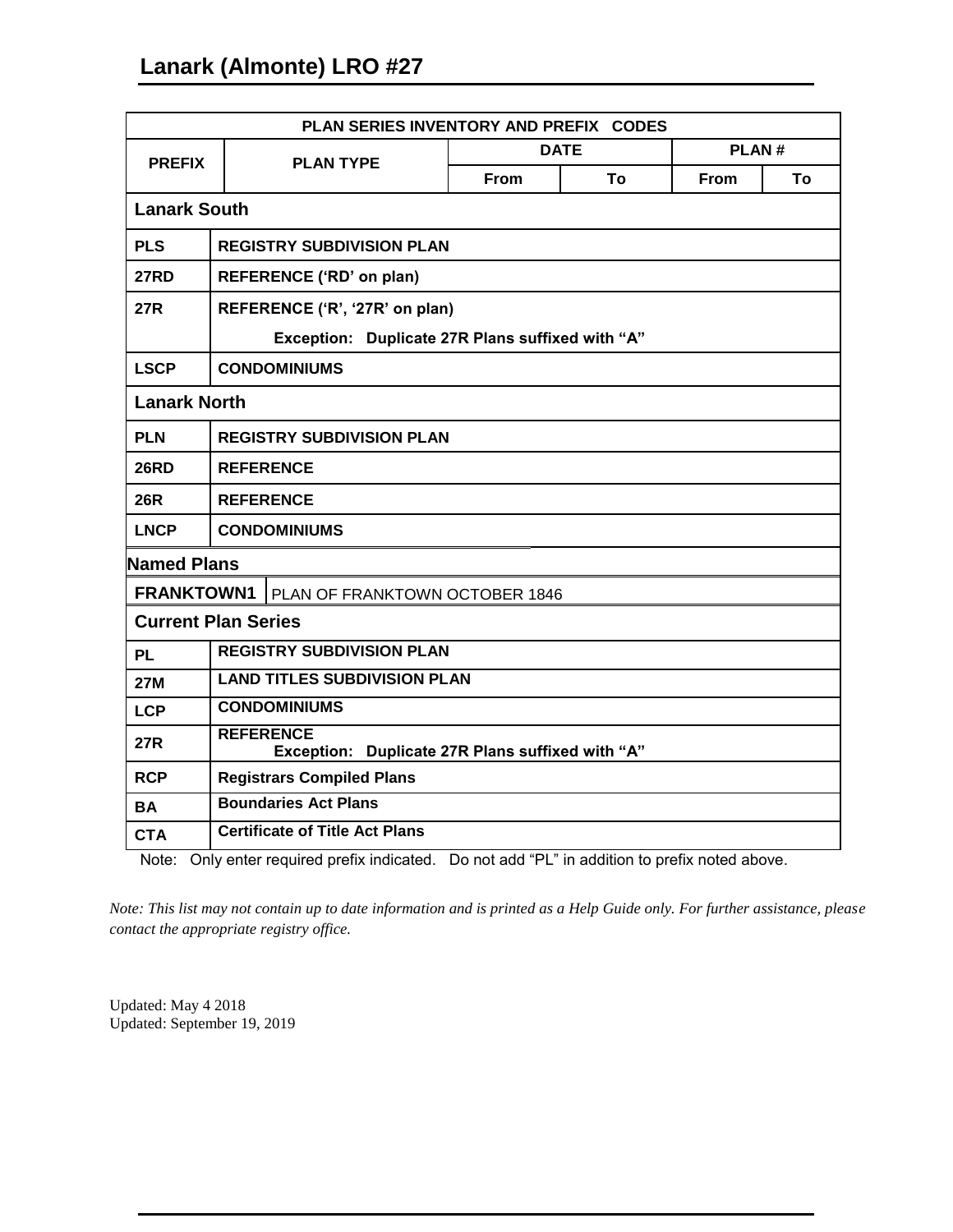| PLAN SERIES INVENTORY AND PREFIX CODES                     |                                                                      |             |    |             |    |
|------------------------------------------------------------|----------------------------------------------------------------------|-------------|----|-------------|----|
| <b>PREFIX</b>                                              | <b>PLAN TYPE</b>                                                     | <b>DATE</b> |    | PLAN#       |    |
|                                                            |                                                                      | <b>From</b> | Τo | <b>From</b> | Τo |
| <b>Lanark South</b>                                        |                                                                      |             |    |             |    |
| <b>PLS</b>                                                 | <b>REGISTRY SUBDIVISION PLAN</b>                                     |             |    |             |    |
| <b>27RD</b>                                                | REFERENCE ('RD' on plan)                                             |             |    |             |    |
| <b>27R</b>                                                 | REFERENCE ('R', '27R' on plan)                                       |             |    |             |    |
|                                                            | Exception: Duplicate 27R Plans suffixed with "A"                     |             |    |             |    |
| <b>LSCP</b>                                                | <b>CONDOMINIUMS</b>                                                  |             |    |             |    |
| <b>Lanark North</b>                                        |                                                                      |             |    |             |    |
| <b>PLN</b>                                                 | <b>REGISTRY SUBDIVISION PLAN</b>                                     |             |    |             |    |
| <b>26RD</b>                                                | <b>REFERENCE</b>                                                     |             |    |             |    |
| <b>26R</b>                                                 | <b>REFERENCE</b>                                                     |             |    |             |    |
| <b>LNCP</b>                                                | <b>CONDOMINIUMS</b>                                                  |             |    |             |    |
| <b>Named Plans</b>                                         |                                                                      |             |    |             |    |
| <b>FRANKTOWN1</b><br><b>PLAN OF FRANKTOWN OCTOBER 1846</b> |                                                                      |             |    |             |    |
| <b>Current Plan Series</b>                                 |                                                                      |             |    |             |    |
| <b>PL</b>                                                  | <b>REGISTRY SUBDIVISION PLAN</b>                                     |             |    |             |    |
| <b>27M</b>                                                 | <b>LAND TITLES SUBDIVISION PLAN</b>                                  |             |    |             |    |
| <b>LCP</b>                                                 | <b>CONDOMINIUMS</b>                                                  |             |    |             |    |
| <b>27R</b>                                                 | <b>REFERENCE</b><br>Exception: Duplicate 27R Plans suffixed with "A" |             |    |             |    |
| <b>RCP</b>                                                 | <b>Registrars Compiled Plans</b>                                     |             |    |             |    |
| <b>BA</b>                                                  | <b>Boundaries Act Plans</b>                                          |             |    |             |    |
| <b>CTA</b>                                                 | <b>Certificate of Title Act Plans</b>                                |             |    |             |    |

Note: Only enter required prefix indicated. Do not add "PL" in addition to prefix noted above.

*Note: This list may not contain up to date information and is printed as a Help Guide only. For further assistance, please contact the appropriate registry office.*

Updated: May 4 2018 Updated: September 19, 2019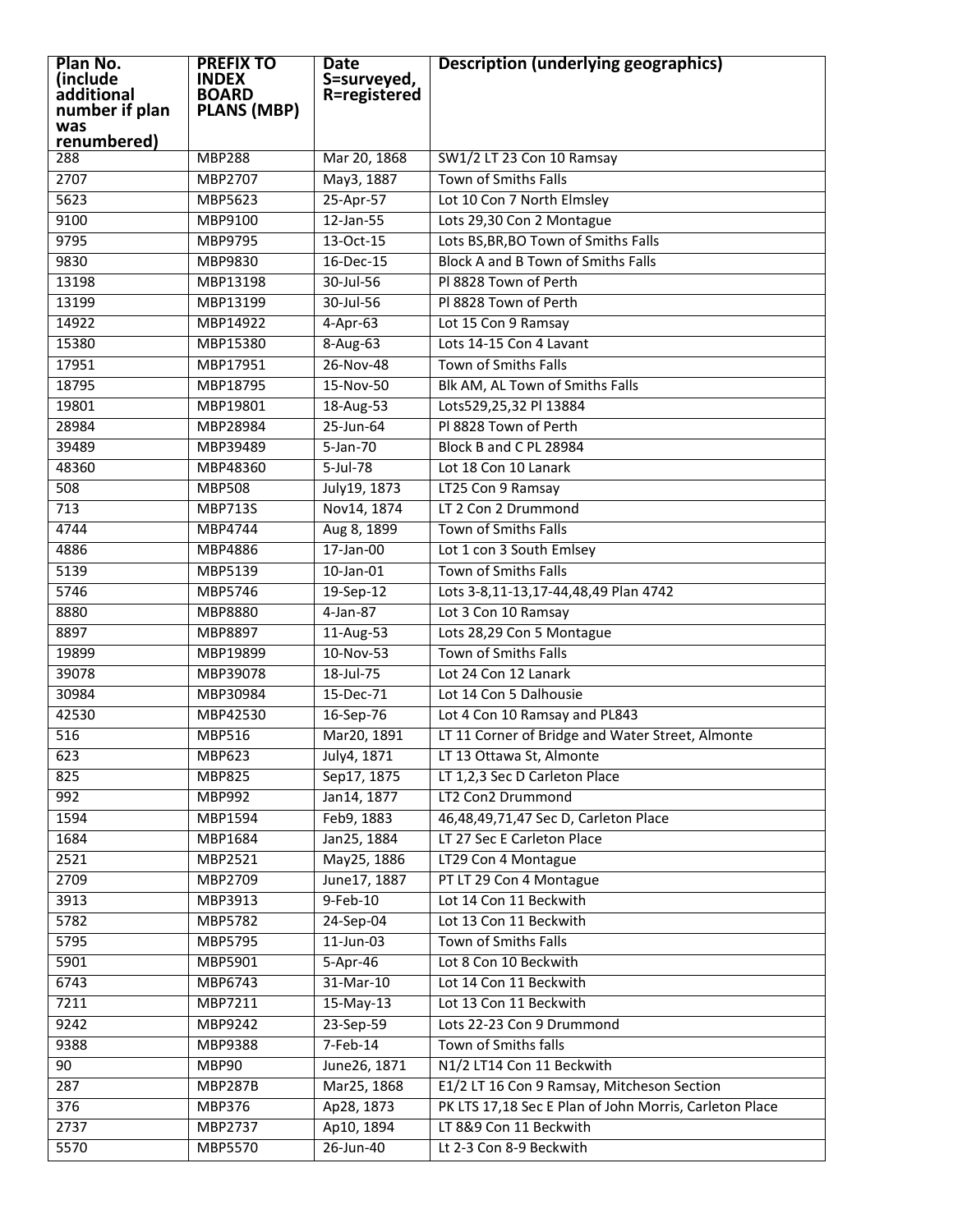| Plan No.<br>(include | <b>PREFIX TO</b><br><b>INDEX</b> | <b>Date</b>                 | <b>Description (underlying geographics)</b>            |
|----------------------|----------------------------------|-----------------------------|--------------------------------------------------------|
| additional           | <b>BOARD</b>                     | S=surveyed,<br>R=registered |                                                        |
| number if plan       | <b>PLANS (MBP)</b>               |                             |                                                        |
| was<br>renumbered)   |                                  |                             |                                                        |
| 288                  | <b>MBP288</b>                    | Mar 20, 1868                | SW1/2 LT 23 Con 10 Ramsay                              |
| 2707                 | MBP2707                          | May3, 1887                  | <b>Town of Smiths Falls</b>                            |
| 5623                 | MBP5623                          | 25-Apr-57                   | Lot 10 Con 7 North Elmsley                             |
| 9100                 | MBP9100                          | $12$ -Jan-55                | Lots 29,30 Con 2 Montague                              |
| 9795                 | MBP9795                          | 13-Oct-15                   | Lots BS, BR, BO Town of Smiths Falls                   |
| 9830                 | MBP9830                          | 16-Dec-15                   | Block A and B Town of Smiths Falls                     |
| 13198                | MBP13198                         | 30-Jul-56                   | PI 8828 Town of Perth                                  |
| 13199                | MBP13199                         | 30-Jul-56                   | PI 8828 Town of Perth                                  |
| 14922                | MBP14922                         | $4-Apr-63$                  | Lot 15 Con 9 Ramsay                                    |
| 15380                | MBP15380                         | 8-Aug-63                    | Lots 14-15 Con 4 Lavant                                |
| 17951                | MBP17951                         | 26-Nov-48                   | Town of Smiths Falls                                   |
| 18795                | MBP18795                         | 15-Nov-50                   | Blk AM, AL Town of Smiths Falls                        |
| 19801                | MBP19801                         | 18-Aug-53                   | Lots529,25,32 Pl 13884                                 |
| 28984                | MBP28984                         | $25 - Jun-64$               | PI 8828 Town of Perth                                  |
| 39489                | MBP39489                         | 5-Jan-70                    | Block B and C PL 28984                                 |
| 48360                | MBP48360                         | $5$ -Jul-78                 | Lot 18 Con 10 Lanark                                   |
| 508                  | <b>MBP508</b>                    | July19, 1873                | LT25 Con 9 Ramsay                                      |
| 713                  | <b>MBP713S</b>                   | Nov14, 1874                 | LT 2 Con 2 Drummond                                    |
| 4744                 | MBP4744                          | Aug 8, 1899                 | <b>Town of Smiths Falls</b>                            |
| 4886                 | MBP4886                          | $17$ -Jan-00                | Lot 1 con 3 South Emlsey                               |
| 5139                 | MBP5139                          | $10$ -Jan- $01$             | <b>Town of Smiths Falls</b>                            |
| 5746                 | MBP5746                          | 19-Sep-12                   | Lots 3-8,11-13,17-44,48,49 Plan 4742                   |
| 8880                 | MBP8880                          | $4-Jan-87$                  | Lot 3 Con 10 Ramsay                                    |
| 8897                 | MBP8897                          | 11-Aug-53                   | Lots 28,29 Con 5 Montague                              |
| 19899                | MBP19899                         | 10-Nov-53                   | <b>Town of Smiths Falls</b>                            |
| 39078                | MBP39078                         | 18-Jul-75                   | Lot 24 Con 12 Lanark                                   |
| 30984                | MBP30984                         | 15-Dec-71                   | Lot 14 Con 5 Dalhousie                                 |
| 42530                | MBP42530                         | 16-Sep-76                   | Lot 4 Con 10 Ramsay and PL843                          |
| 516                  | <b>MBP516</b>                    | Mar20, 1891                 | LT 11 Corner of Bridge and Water Street, Almonte       |
| 623                  | <b>MBP623</b>                    | July4, 1871                 | LT 13 Ottawa St, Almonte                               |
| 825                  | <b>MBP825</b>                    | Sep17, 1875                 | LT 1,2,3 Sec D Carleton Place                          |
| 992                  | MBP992                           | Jan14, 1877                 | LT2 Con2 Drummond                                      |
| 1594                 | <b>MBP1594</b>                   | Feb9, 1883                  | 46,48,49,71,47 Sec D, Carleton Place                   |
| 1684                 | MBP1684                          | Jan25, 1884                 | LT 27 Sec E Carleton Place                             |
| 2521                 | MBP2521                          | May25, 1886                 | LT29 Con 4 Montague                                    |
| 2709                 | <b>MBP2709</b>                   | June17, 1887                | PT LT 29 Con 4 Montague                                |
| 3913                 | MBP3913                          | $9 - Feb - 10$              | Lot 14 Con 11 Beckwith                                 |
| 5782                 | <b>MBP5782</b>                   | 24-Sep-04                   | Lot 13 Con 11 Beckwith                                 |
| 5795                 | MBP5795                          | $11$ -Jun-03                | Town of Smiths Falls                                   |
| 5901                 | MBP5901                          | 5-Apr-46                    | Lot 8 Con 10 Beckwith                                  |
| 6743                 | MBP6743                          | 31-Mar-10                   | Lot 14 Con 11 Beckwith                                 |
| 7211                 | MBP7211                          | $15$ -May-13                | Lot 13 Con 11 Beckwith                                 |
| 9242                 | MBP9242                          | 23-Sep-59                   | Lots 22-23 Con 9 Drummond                              |
| 9388                 | MBP9388                          | $7 - Feb - 14$              | Town of Smiths falls                                   |
| 90                   | <b>MBP90</b>                     | June26, 1871                | N1/2 LT14 Con 11 Beckwith                              |
| 287                  | <b>MBP287B</b>                   | Mar25, 1868                 | E1/2 LT 16 Con 9 Ramsay, Mitcheson Section             |
| 376                  | <b>MBP376</b>                    | Ap28, 1873                  | PK LTS 17,18 Sec E Plan of John Morris, Carleton Place |
| 2737                 | <b>MBP2737</b>                   | Ap10, 1894                  | LT 8&9 Con 11 Beckwith                                 |
| 5570                 | MBP5570                          | 26-Jun-40                   | Lt 2-3 Con 8-9 Beckwith                                |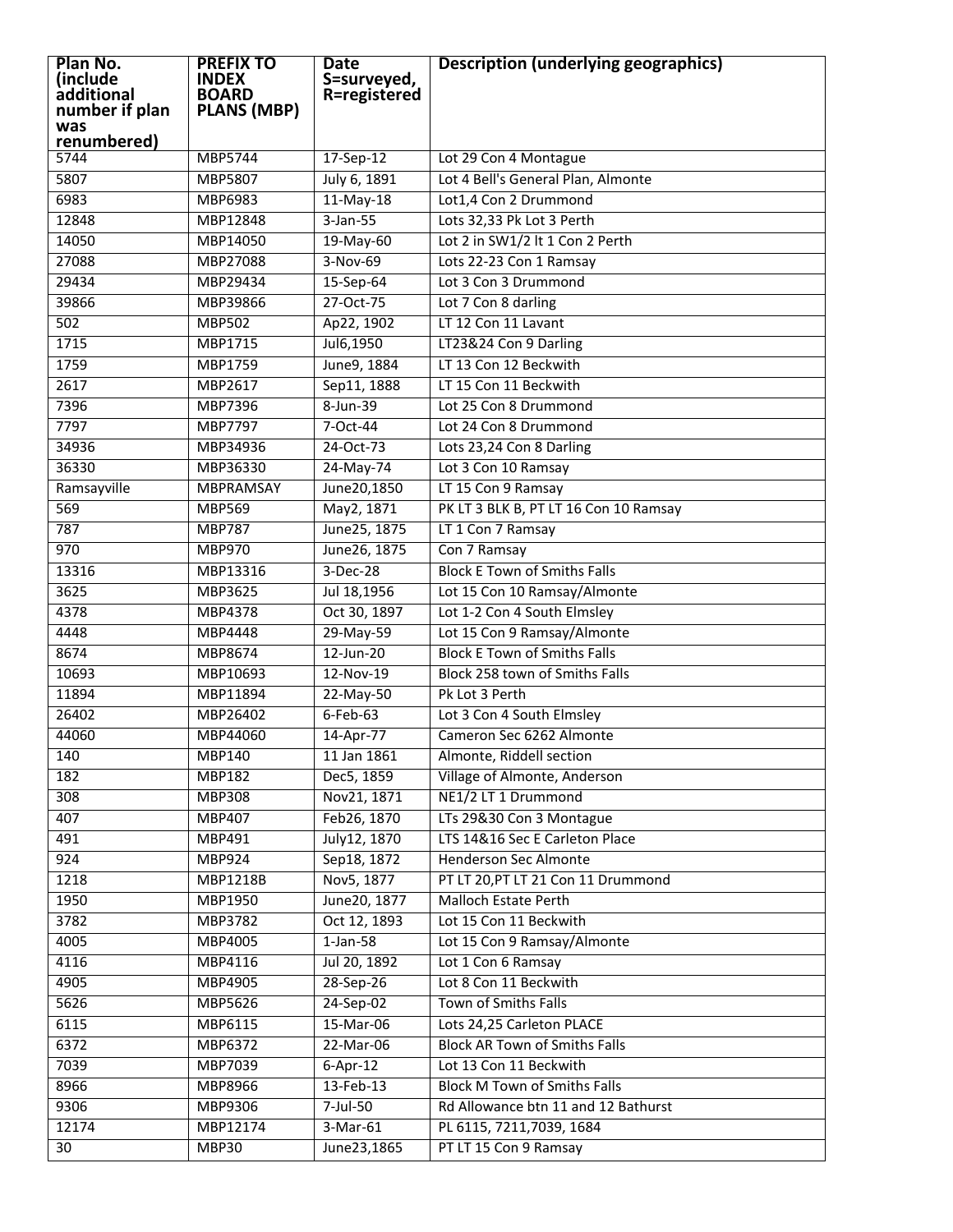| Plan No.<br>(include<br>additional<br>number if plan<br>was | <b>PREFIX TO</b><br><b>INDEX</b><br><b>BOARD</b><br><b>PLANS (MBP)</b> | <b>Date</b><br>S=surveyed,<br>R=registered | <b>Description (underlying geographics)</b> |
|-------------------------------------------------------------|------------------------------------------------------------------------|--------------------------------------------|---------------------------------------------|
| renumbered)                                                 |                                                                        |                                            |                                             |
| 5744                                                        | MBP5744                                                                | $17-Sep-12$                                | Lot 29 Con 4 Montague                       |
| 5807                                                        | MBP5807                                                                | July 6, 1891                               | Lot 4 Bell's General Plan, Almonte          |
| 6983                                                        | MBP6983                                                                | $11-May-18$                                | Lot1,4 Con 2 Drummond                       |
| 12848                                                       | MBP12848                                                               | $3 - Jan - 55$                             | Lots 32,33 Pk Lot 3 Perth                   |
| 14050                                                       | MBP14050                                                               | 19-May-60                                  | Lot 2 in SW1/2 lt 1 Con 2 Perth             |
| 27088                                                       | MBP27088                                                               | $3-Nov-69$                                 | Lots 22-23 Con 1 Ramsay                     |
| 29434                                                       | MBP29434                                                               | 15-Sep-64                                  | Lot 3 Con 3 Drummond                        |
| 39866                                                       | MBP39866                                                               | 27-Oct-75                                  | Lot 7 Con 8 darling                         |
| 502                                                         | <b>MBP502</b>                                                          | Ap22, 1902                                 | LT 12 Con 11 Lavant                         |
| 1715                                                        | MBP1715                                                                | Jul6,1950                                  | LT23&24 Con 9 Darling                       |
| 1759                                                        | MBP1759                                                                | June9, 1884                                | LT 13 Con 12 Beckwith                       |
| 2617                                                        | MBP2617                                                                | Sep11, 1888                                | LT 15 Con 11 Beckwith                       |
| 7396                                                        | MBP7396                                                                | 8-Jun-39                                   | Lot 25 Con 8 Drummond                       |
| 7797                                                        | <b>MBP7797</b>                                                         | 7-Oct-44                                   | Lot 24 Con 8 Drummond                       |
| 34936                                                       | MBP34936                                                               | 24-Oct-73                                  | Lots 23,24 Con 8 Darling                    |
| 36330                                                       | MBP36330                                                               | $24$ -May-74                               | Lot 3 Con 10 Ramsay                         |
| Ramsayville                                                 | MBPRAMSAY                                                              | June20,1850                                | LT 15 Con 9 Ramsay                          |
| 569                                                         | <b>MBP569</b>                                                          | May2, 1871                                 | PK LT 3 BLK B, PT LT 16 Con 10 Ramsay       |
| 787                                                         | <b>MBP787</b>                                                          | June25, 1875                               | LT 1 Con 7 Ramsay                           |
| 970                                                         | <b>MBP970</b>                                                          | June26, 1875                               | Con 7 Ramsay                                |
| 13316                                                       | MBP13316                                                               | $3-Dec-28$                                 | <b>Block E Town of Smiths Falls</b>         |
| 3625                                                        | MBP3625                                                                | Jul 18,1956                                | Lot 15 Con 10 Ramsay/Almonte                |
| 4378                                                        | MBP4378                                                                | Oct 30, 1897                               | Lot 1-2 Con 4 South Elmsley                 |
| 4448                                                        | MBP4448                                                                | 29-May-59                                  | Lot 15 Con 9 Ramsay/Almonte                 |
| 8674                                                        | MBP8674                                                                | $12$ -Jun-20                               | <b>Block E Town of Smiths Falls</b>         |
| 10693                                                       | MBP10693                                                               | 12-Nov-19                                  | Block 258 town of Smiths Falls              |
| 11894                                                       | MBP11894                                                               | $22-May-50$                                | Pk Lot 3 Perth                              |
| 26402                                                       | MBP26402                                                               | $6$ -Feb-63                                | Lot 3 Con 4 South Elmsley                   |
| 44060                                                       | MBP44060                                                               | 14-Apr-77                                  | Cameron Sec 6262 Almonte                    |
| 140                                                         | MBP140                                                                 | 11 Jan 1861                                | Almonte, Riddell section                    |
| 182                                                         | <b>MBP182</b>                                                          | Dec5, 1859                                 | Village of Almonte, Anderson                |
| 308                                                         | <b>MBP308</b>                                                          | Nov21, 1871                                | NE1/2 LT 1 Drummond                         |
| 407                                                         | <b>MBP407</b>                                                          | Feb26, 1870                                | LTs 29&30 Con 3 Montague                    |
| 491                                                         | MBP491                                                                 | July12, 1870                               | LTS 14&16 Sec E Carleton Place              |
| 924                                                         | MBP924                                                                 | Sep18, 1872                                | Henderson Sec Almonte                       |
| 1218                                                        | <b>MBP1218B</b>                                                        | Nov5, 1877                                 | PT LT 20, PT LT 21 Con 11 Drummond          |
| 1950                                                        | MBP1950                                                                | June20, 1877                               | <b>Malloch Estate Perth</b>                 |
| 3782                                                        | MBP3782                                                                | Oct 12, 1893                               | Lot 15 Con 11 Beckwith                      |
| 4005                                                        | MBP4005                                                                | $1-Jan-58$                                 | Lot 15 Con 9 Ramsay/Almonte                 |
| 4116                                                        | MBP4116                                                                | Jul 20, 1892                               | Lot 1 Con 6 Ramsay                          |
| 4905                                                        | MBP4905                                                                | 28-Sep-26                                  | Lot 8 Con 11 Beckwith                       |
| 5626                                                        | MBP5626                                                                | 24-Sep-02                                  | Town of Smiths Falls                        |
| 6115                                                        | MBP6115                                                                | 15-Mar-06                                  | Lots 24,25 Carleton PLACE                   |
| 6372                                                        | MBP6372                                                                | 22-Mar-06                                  | <b>Block AR Town of Smiths Falls</b>        |
| 7039                                                        | MBP7039                                                                | $6 - Apr - 12$                             | Lot 13 Con 11 Beckwith                      |
| 8966                                                        | MBP8966                                                                | 13-Feb-13                                  | <b>Block M Town of Smiths Falls</b>         |
| 9306                                                        | MBP9306                                                                | 7-Jul-50                                   | Rd Allowance btn 11 and 12 Bathurst         |
| 12174                                                       | MBP12174                                                               | $3-Mar-61$                                 | PL 6115, 7211, 7039, 1684                   |
| 30                                                          | <b>MBP30</b>                                                           | June23,1865                                | PT LT 15 Con 9 Ramsay                       |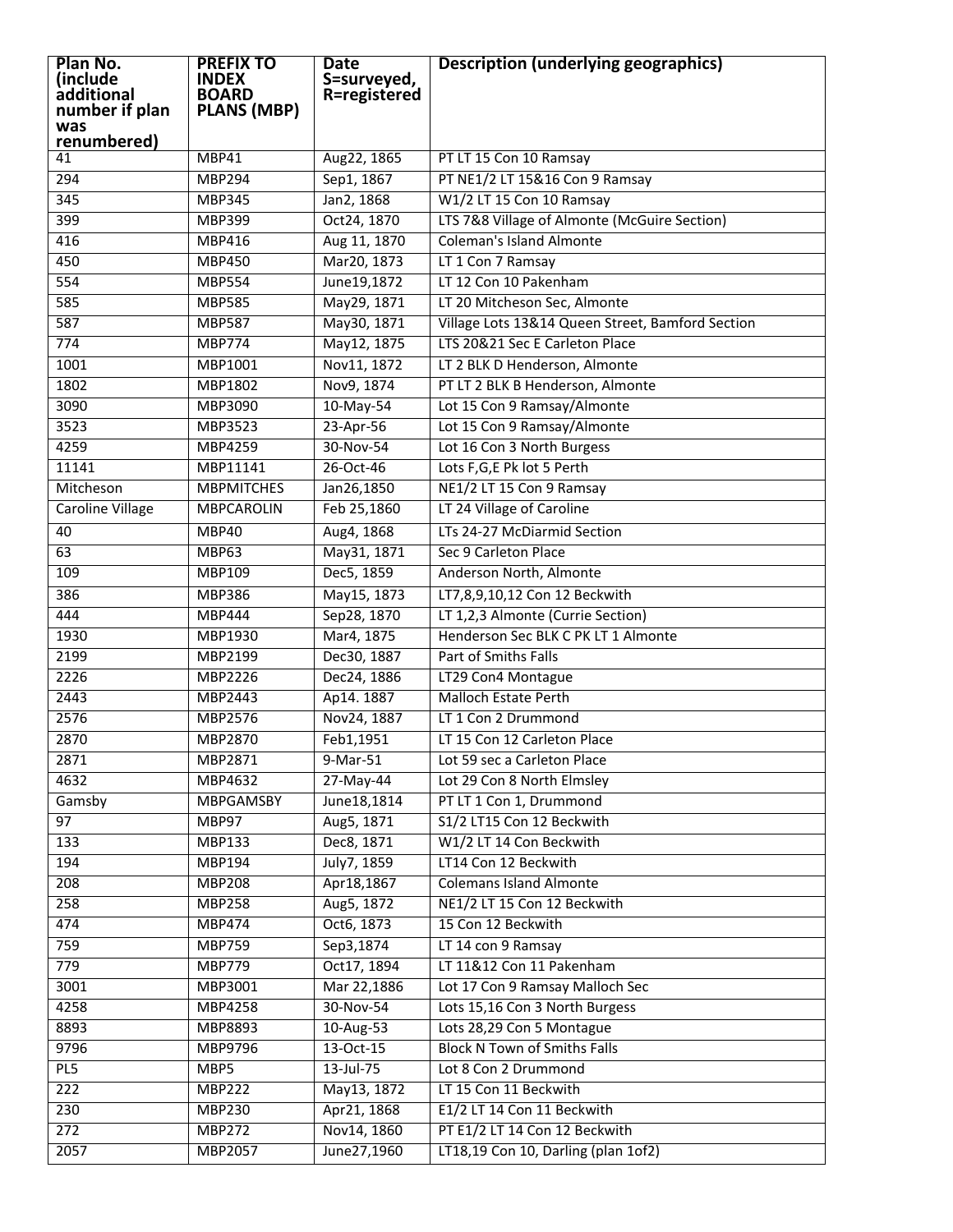| Plan No.<br>(include    | <b>PREFIX TO</b><br>INDEX | <b>Date</b><br>S=surveyed, | <b>Description (underlying geographics)</b>      |
|-------------------------|---------------------------|----------------------------|--------------------------------------------------|
| additional              | <b>BOARD</b>              | R=registered               |                                                  |
| number if plan          | <b>PLANS (MBP)</b>        |                            |                                                  |
| was<br>renumbered)      |                           |                            |                                                  |
| 41                      | MBP41                     | Aug22, 1865                | PT LT 15 Con 10 Ramsay                           |
| 294                     | <b>MBP294</b>             | Sep1, 1867                 | PT NE1/2 LT 15&16 Con 9 Ramsay                   |
| 345                     | <b>MBP345</b>             | Jan2, 1868                 | W1/2 LT 15 Con 10 Ramsay                         |
| 399                     | <b>MBP399</b>             | Oct24, 1870                | LTS 7&8 Village of Almonte (McGuire Section)     |
| 416                     | MBP416                    | Aug 11, 1870               | <b>Coleman's Island Almonte</b>                  |
| 450                     | <b>MBP450</b>             | Mar20, 1873                | LT 1 Con 7 Ramsay                                |
| 554                     | <b>MBP554</b>             | June19,1872                | LT 12 Con 10 Pakenham                            |
| 585                     | <b>MBP585</b>             | May29, 1871                | LT 20 Mitcheson Sec, Almonte                     |
| 587                     | <b>MBP587</b>             | May30, 1871                | Village Lots 13&14 Queen Street, Bamford Section |
| 774                     | <b>MBP774</b>             | May12, 1875                | LTS 20&21 Sec E Carleton Place                   |
| 1001                    | MBP1001                   | Nov11, 1872                | LT 2 BLK D Henderson, Almonte                    |
| 1802                    | MBP1802                   | Nov9, 1874                 | PT LT 2 BLK B Henderson, Almonte                 |
| 3090                    | <b>MBP3090</b>            | 10-May-54                  | Lot 15 Con 9 Ramsay/Almonte                      |
| 3523                    | MBP3523                   | 23-Apr-56                  | Lot 15 Con 9 Ramsay/Almonte                      |
| 4259                    | <b>MBP4259</b>            | 30-Nov-54                  | Lot 16 Con 3 North Burgess                       |
| 11141                   | MBP11141                  | 26-Oct-46                  | Lots F,G,E Pk lot 5 Perth                        |
| Mitcheson               | <b>MBPMITCHES</b>         | Jan26,1850                 | NE1/2 LT 15 Con 9 Ramsay                         |
| <b>Caroline Village</b> | <b>MBPCAROLIN</b>         | Feb 25,1860                | LT 24 Village of Caroline                        |
| 40                      | MBP40                     | Aug4, 1868                 | LTs 24-27 McDiarmid Section                      |
| 63                      | <b>MBP63</b>              | May31, 1871                | Sec 9 Carleton Place                             |
| 109                     | MBP109                    | Dec5, 1859                 | Anderson North, Almonte                          |
| 386                     | <b>MBP386</b>             | May15, 1873                | LT7,8,9,10,12 Con 12 Beckwith                    |
| 444                     | <b>MBP444</b>             | Sep28, 1870                | LT 1,2,3 Almonte (Currie Section)                |
| 1930                    | MBP1930                   | Mar4, 1875                 | Henderson Sec BLK C PK LT 1 Almonte              |
| 2199                    | MBP2199                   | Dec30, 1887                | Part of Smiths Falls                             |
| 2226                    | MBP2226                   | Dec24, 1886                | LT29 Con4 Montague                               |
| 2443                    | MBP2443                   | Ap14.1887                  | <b>Malloch Estate Perth</b>                      |
| 2576                    | MBP2576                   | Nov24, 1887                | LT 1 Con 2 Drummond                              |
| 2870                    | <b>MBP2870</b>            | Feb1,1951                  | LT 15 Con 12 Carleton Place                      |
| 2871                    | MBP2871                   | $9-Mar-51$                 | Lot 59 sec a Carleton Place                      |
| 4632                    | MBP4632                   | 27-May-44                  | Lot 29 Con 8 North Elmsley                       |
| Gamsby                  | <b>MBPGAMSBY</b>          | June18,1814                | PT LT 1 Con 1, Drummond                          |
| 97                      | MBP97                     | Aug5, 1871                 | S1/2 LT15 Con 12 Beckwith                        |
| 133                     | MBP133                    | Dec8, 1871                 | W1/2 LT 14 Con Beckwith                          |
| 194                     | MBP194                    | July7, 1859                | LT14 Con 12 Beckwith                             |
| 208                     | <b>MBP208</b>             | Apr18,1867                 | <b>Colemans Island Almonte</b>                   |
| 258                     | <b>MBP258</b>             | Aug5, 1872                 | NE1/2 LT 15 Con 12 Beckwith                      |
| 474                     | <b>MBP474</b>             | Oct6, 1873                 | 15 Con 12 Beckwith                               |
| 759                     | <b>MBP759</b>             | Sep3,1874                  | LT 14 con 9 Ramsay                               |
| 779                     | <b>MBP779</b>             | Oct17, 1894                | LT 11&12 Con 11 Pakenham                         |
| 3001                    | MBP3001                   | Mar 22,1886                | Lot 17 Con 9 Ramsay Malloch Sec                  |
| 4258                    | MBP4258                   | 30-Nov-54                  | Lots 15,16 Con 3 North Burgess                   |
| 8893                    | MBP8893                   | 10-Aug-53                  | Lots 28,29 Con 5 Montague                        |
| 9796                    | MBP9796                   | $13-Oct-15$                | <b>Block N Town of Smiths Falls</b>              |
| PL5                     | MBP5                      | $13$ -Jul-75               | Lot 8 Con 2 Drummond                             |
| 222                     | $\overline{MBP222}$       | May13, 1872                | LT 15 Con 11 Beckwith                            |
| 230                     | <b>MBP230</b>             | Apr21, 1868                | E1/2 LT 14 Con 11 Beckwith                       |
| 272                     | <b>MBP272</b>             | Nov14, 1860                | PT E1/2 LT 14 Con 12 Beckwith                    |
| 2057                    | <b>MBP2057</b>            | June27,1960                | LT18,19 Con 10, Darling (plan 1of2)              |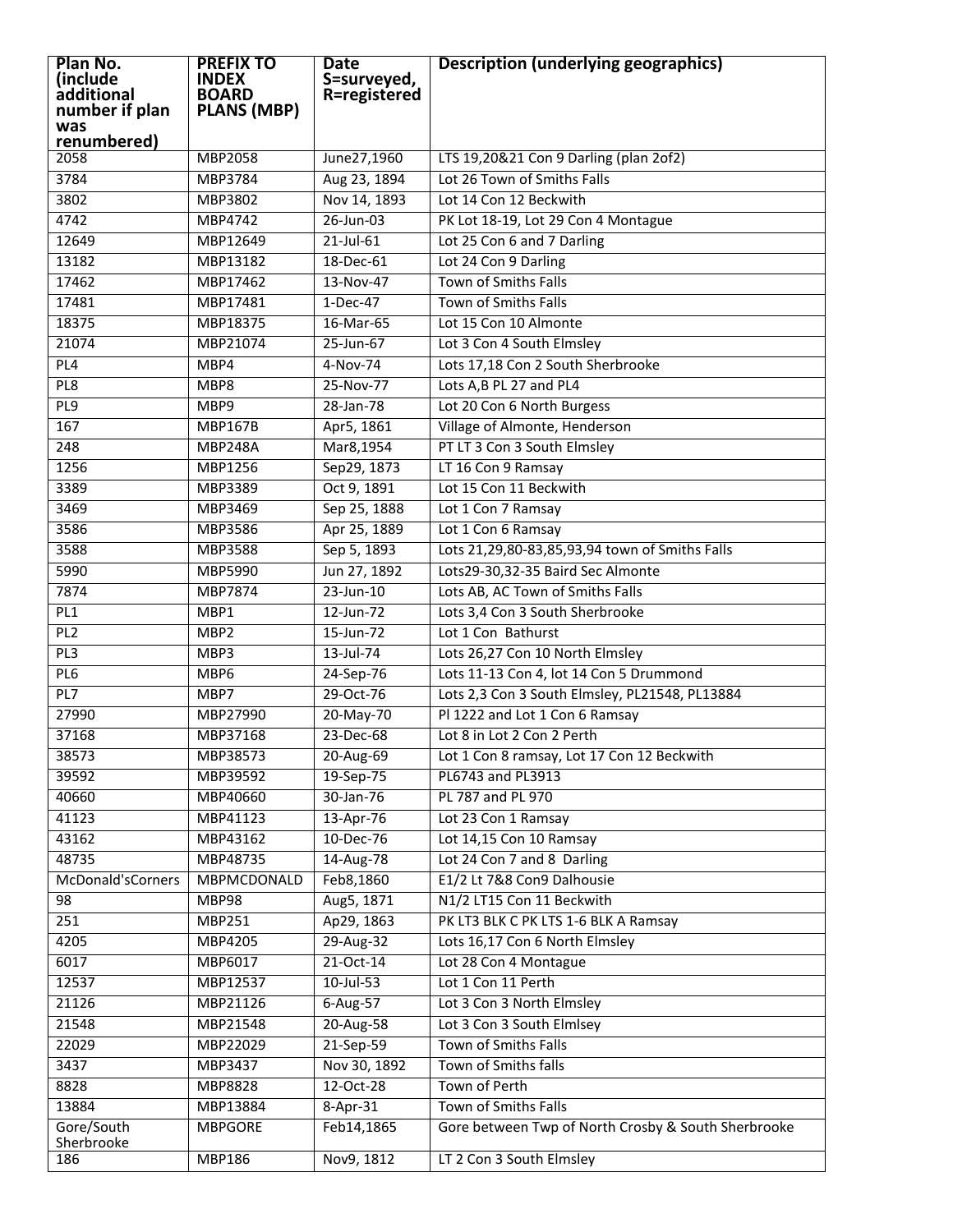| Plan No.<br>(include<br>additional<br>number if plan<br>was | <b>PREFIX TO</b><br><b>INDEX</b><br><b>BOARD</b><br><b>PLANS (MBP)</b> | <b>Date</b><br>S=surveyed,<br>R=registered | <b>Description (underlying geographics)</b>         |
|-------------------------------------------------------------|------------------------------------------------------------------------|--------------------------------------------|-----------------------------------------------------|
| renumbered)                                                 |                                                                        |                                            |                                                     |
| 2058                                                        | MBP2058                                                                | June27,1960                                | LTS 19,20&21 Con 9 Darling (plan 2of2)              |
| 3784                                                        | MBP3784                                                                | Aug 23, 1894                               | Lot 26 Town of Smiths Falls                         |
| 3802                                                        | MBP3802                                                                | Nov 14, 1893                               | Lot 14 Con 12 Beckwith                              |
| 4742                                                        | MBP4742                                                                | $26$ -Jun-03                               | PK Lot 18-19, Lot 29 Con 4 Montague                 |
| 12649                                                       | MBP12649                                                               | $21$ -Jul-61                               | Lot 25 Con 6 and 7 Darling                          |
| 13182                                                       | MBP13182                                                               | 18-Dec-61                                  | Lot 24 Con 9 Darling                                |
| 17462                                                       | MBP17462                                                               | 13-Nov-47                                  | <b>Town of Smiths Falls</b>                         |
| 17481                                                       | MBP17481                                                               | $1-Dec-47$                                 | <b>Town of Smiths Falls</b>                         |
| 18375                                                       | MBP18375                                                               | 16-Mar-65                                  | Lot 15 Con 10 Almonte                               |
| 21074                                                       | MBP21074                                                               | 25-Jun-67                                  | Lot 3 Con 4 South Elmsley                           |
| PL <sub>4</sub>                                             | MBP4                                                                   | 4-Nov-74                                   | Lots 17,18 Con 2 South Sherbrooke                   |
| PL8                                                         | MBP8                                                                   | 25-Nov-77                                  | Lots A, B PL 27 and PL4                             |
| PL9                                                         | MBP9                                                                   | 28-Jan-78                                  | Lot 20 Con 6 North Burgess                          |
| 167                                                         | <b>MBP167B</b>                                                         | Apr5, 1861                                 | Village of Almonte, Henderson                       |
| 248                                                         | <b>MBP248A</b>                                                         | Mar8,1954                                  | PT LT 3 Con 3 South Elmsley                         |
| 1256                                                        | MBP1256                                                                | Sep29, 1873                                | LT 16 Con 9 Ramsay                                  |
| 3389                                                        | MBP3389                                                                | Oct 9, 1891                                | Lot 15 Con 11 Beckwith                              |
| 3469                                                        | MBP3469                                                                | Sep 25, 1888                               | Lot 1 Con 7 Ramsay                                  |
| 3586                                                        | MBP3586                                                                | Apr 25, 1889                               | Lot 1 Con 6 Ramsay                                  |
| 3588                                                        | MBP3588                                                                | Sep 5, 1893                                | Lots 21,29,80-83,85,93,94 town of Smiths Falls      |
| 5990                                                        | MBP5990                                                                | Jun 27, 1892                               | Lots29-30,32-35 Baird Sec Almonte                   |
| 7874                                                        | MBP7874                                                                | $23$ -Jun-10                               | Lots AB, AC Town of Smiths Falls                    |
| PL1                                                         | MBP1                                                                   | $12$ -Jun-72                               | Lots 3,4 Con 3 South Sherbrooke                     |
| PL2                                                         | MBP <sub>2</sub>                                                       | $15$ -Jun-72                               | Lot 1 Con Bathurst                                  |
| PL3                                                         | MBP3                                                                   | $13$ -Jul-74                               | Lots 26,27 Con 10 North Elmsley                     |
| PL6                                                         | MBP6                                                                   | 24-Sep-76                                  | Lots 11-13 Con 4, lot 14 Con 5 Drummond             |
| PL7                                                         | MBP7                                                                   | 29-Oct-76                                  | Lots 2,3 Con 3 South Elmsley, PL21548, PL13884      |
| 27990                                                       | MBP27990                                                               | $20-May-70$                                | Pl 1222 and Lot 1 Con 6 Ramsay                      |
| 37168                                                       | MBP37168                                                               | 23-Dec-68                                  | Lot 8 in Lot 2 Con 2 Perth                          |
| 38573                                                       | MBP38573                                                               | 20-Aug-69                                  | Lot 1 Con 8 ramsay, Lot 17 Con 12 Beckwith          |
| 39592                                                       | MBP39592                                                               | 19-Sep-75                                  | PL6743 and PL3913                                   |
| 40660                                                       | MBP40660                                                               | 30-Jan-76                                  | PL 787 and PL 970                                   |
| 41123                                                       | MBP41123                                                               | 13-Apr-76                                  | Lot 23 Con 1 Ramsay                                 |
| 43162                                                       | MBP43162                                                               | 10-Dec-76                                  | Lot 14,15 Con 10 Ramsay                             |
| 48735                                                       | MBP48735                                                               | 14-Aug-78                                  | Lot 24 Con 7 and 8 Darling                          |
| McDonald'sCorners                                           | MBPMCDONALD                                                            | Feb8,1860                                  | E1/2 Lt 7&8 Con9 Dalhousie                          |
| 98                                                          | MBP98                                                                  | Aug5, 1871                                 | N1/2 LT15 Con 11 Beckwith                           |
| 251                                                         | MBP251                                                                 | Ap29, 1863                                 | PK LT3 BLK C PK LTS 1-6 BLK A Ramsay                |
| 4205                                                        | MBP4205                                                                | 29-Aug-32                                  | Lots 16, 17 Con 6 North Elmsley                     |
| 6017                                                        | MBP6017                                                                | 21-Oct-14                                  | Lot 28 Con 4 Montague                               |
| 12537                                                       | MBP12537                                                               | $10$ -Jul-53                               | Lot 1 Con 11 Perth                                  |
| 21126                                                       | MBP21126                                                               | $6$ -Aug-57                                | Lot 3 Con 3 North Elmsley                           |
| 21548                                                       | MBP21548                                                               | 20-Aug-58                                  | Lot 3 Con 3 South Elmlsey                           |
| 22029                                                       | MBP22029                                                               | 21-Sep-59                                  | Town of Smiths Falls                                |
| 3437                                                        | MBP3437                                                                | Nov 30, 1892                               | Town of Smiths falls                                |
| 8828                                                        | MBP8828                                                                | 12-Oct-28                                  | Town of Perth                                       |
| 13884                                                       | MBP13884                                                               | 8-Apr-31                                   | Town of Smiths Falls                                |
| Gore/South<br>Sherbrooke                                    | <b>MBPGORE</b>                                                         | Feb14,1865                                 | Gore between Twp of North Crosby & South Sherbrooke |
| 186                                                         | MBP186                                                                 | Nov9, 1812                                 | LT 2 Con 3 South Elmsley                            |